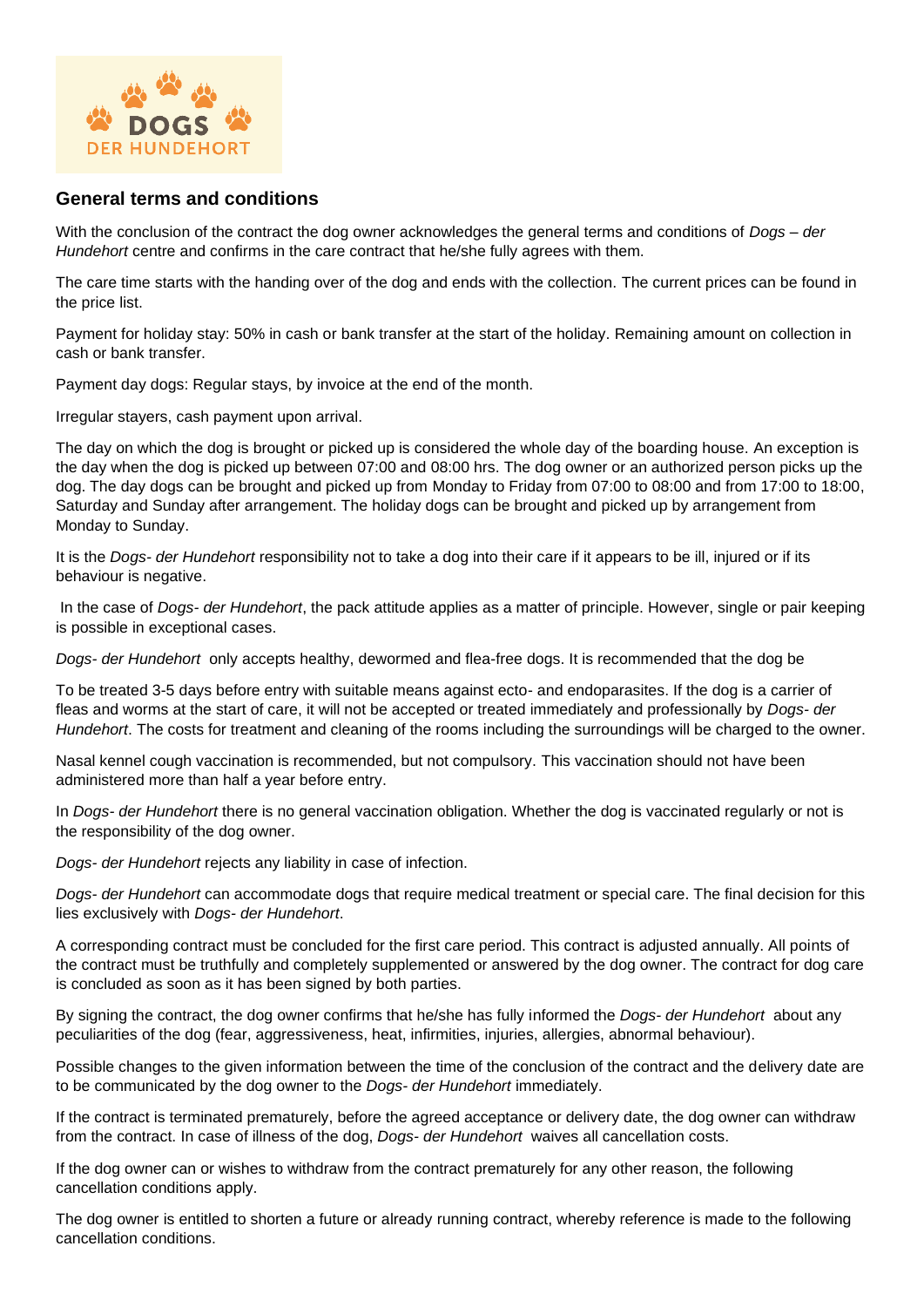

## **General terms and conditions**

With the conclusion of the contract the dog owner acknowledges the general terms and conditions of *Dogs – der Hundehort* centre and confirms in the care contract that he/she fully agrees with them.

The care time starts with the handing over of the dog and ends with the collection. The current prices can be found in the price list.

Payment for holiday stay: 50% in cash or bank transfer at the start of the holiday. Remaining amount on collection in cash or bank transfer.

Payment day dogs: Regular stays, by invoice at the end of the month.

Irregular stayers, cash payment upon arrival.

The day on which the dog is brought or picked up is considered the whole day of the boarding house. An exception is the day when the dog is picked up between 07:00 and 08:00 hrs. The dog owner or an authorized person picks up the dog. The day dogs can be brought and picked up from Monday to Friday from 07:00 to 08:00 and from 17:00 to 18:00, Saturday and Sunday after arrangement. The holiday dogs can be brought and picked up by arrangement from Monday to Sunday.

It is the *Dogs- der Hundehort* responsibility not to take a dog into their care if it appears to be ill, injured or if its behaviour is negative.

In the case of *Dogs- der Hundehort*, the pack attitude applies as a matter of principle. However, single or pair keeping is possible in exceptional cases.

*Dogs- der Hundehort* only accepts healthy, dewormed and flea-free dogs. It is recommended that the dog be

To be treated 3-5 days before entry with suitable means against ecto- and endoparasites. If the dog is a carrier of fleas and worms at the start of care, it will not be accepted or treated immediately and professionally by *Dogs- der Hundehort*. The costs for treatment and cleaning of the rooms including the surroundings will be charged to the owner.

Nasal kennel cough vaccination is recommended, but not compulsory. This vaccination should not have been administered more than half a year before entry.

In *Dogs- der Hundehort* there is no general vaccination obligation. Whether the dog is vaccinated regularly or not is the responsibility of the dog owner.

*Dogs- der Hundehort* rejects any liability in case of infection.

*Dogs- der Hundehort* can accommodate dogs that require medical treatment or special care. The final decision for this lies exclusively with *Dogs- der Hundehort*.

A corresponding contract must be concluded for the first care period. This contract is adjusted annually. All points of the contract must be truthfully and completely supplemented or answered by the dog owner. The contract for dog care is concluded as soon as it has been signed by both parties.

By signing the contract, the dog owner confirms that he/she has fully informed the *Dogs- der Hundehort* about any peculiarities of the dog (fear, aggressiveness, heat, infirmities, injuries, allergies, abnormal behaviour).

Possible changes to the given information between the time of the conclusion of the contract and the delivery date are to be communicated by the dog owner to the *Dogs- der Hundehort* immediately.

If the contract is terminated prematurely, before the agreed acceptance or delivery date, the dog owner can withdraw from the contract. In case of illness of the dog, *Dogs- der Hundehort* waives all cancellation costs.

If the dog owner can or wishes to withdraw from the contract prematurely for any other reason, the following cancellation conditions apply.

The dog owner is entitled to shorten a future or already running contract, whereby reference is made to the following cancellation conditions.